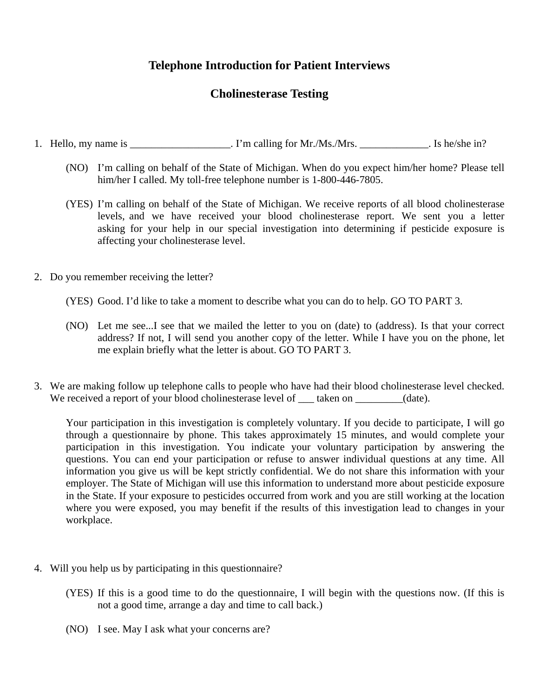## **Telephone Introduction for Patient Interviews**

# **Cholinesterase Testing**

- 1. Hello, my name is \_\_\_\_\_\_\_\_\_\_\_\_\_\_\_\_\_\_\_\_. I'm calling for Mr./Ms./Mrs. \_\_\_\_\_\_\_\_\_\_\_\_\_. Is he/she in?
	- (NO) I'm calling on behalf of the State of Michigan. When do you expect him/her home? Please tell him/her I called. My toll-free telephone number is 1-800-446-7805.
	- (YES) I'm calling on behalf of the State of Michigan. We receive reports of all blood cholinesterase levels, and we have received your blood cholinesterase report. We sent you a letter asking for your help in our special investigation into determining if pesticide exposure is affecting your cholinesterase level.
- 2. Do you remember receiving the letter?
	- (YES) Good. I'd like to take a moment to describe what you can do to help. GO TO PART 3.
	- (NO) Let me see...I see that we mailed the letter to you on (date) to (address). Is that your correct address? If not, I will send you another copy of the letter. While I have you on the phone, let me explain briefly what the letter is about. GO TO PART 3.
- 3. We are making follow up telephone calls to people who have had their blood cholinesterase level checked. We received a report of your blood cholinesterase level of taken on  $(date)$ .

Your participation in this investigation is completely voluntary. If you decide to participate, I will go through a questionnaire by phone. This takes approximately 15 minutes, and would complete your participation in this investigation. You indicate your voluntary participation by answering the questions. You can end your participation or refuse to answer individual questions at any time. All information you give us will be kept strictly confidential. We do not share this information with your employer. The State of Michigan will use this information to understand more about pesticide exposure in the State. If your exposure to pesticides occurred from work and you are still working at the location where you were exposed, you may benefit if the results of this investigation lead to changes in your workplace.

- 4. Will you help us by participating in this questionnaire?
	- (YES) If this is a good time to do the questionnaire, I will begin with the questions now. (If this is not a good time, arrange a day and time to call back.)
	- (NO) I see. May I ask what your concerns are?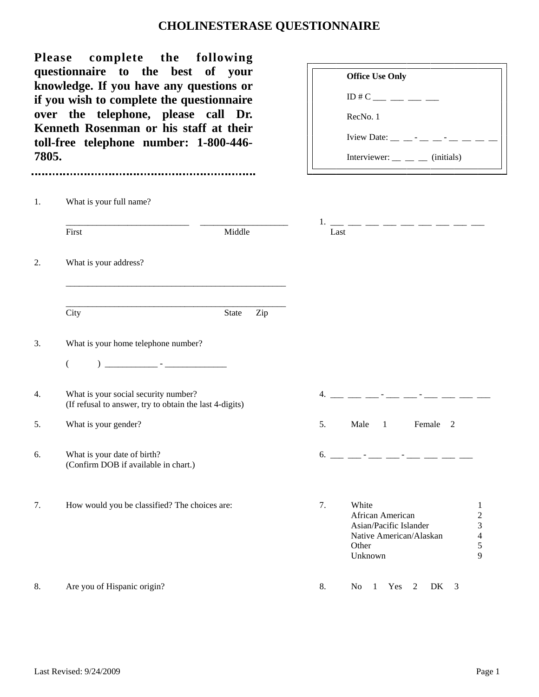# **CHOLINESTERASE QUESTIONNAIRE**

| 7805. | complete the following<br><b>Please</b><br>questionnaire to the best of your<br>knowledge. If you have any questions or<br>if you wish to complete the questionnaire<br>over the telephone, please call Dr.<br>Kenneth Rosenman or his staff at their<br>toll-free telephone number: 1-800-446- | <b>Office Use Only</b><br>$ID \# C$ ___ __ __ __<br>RecNo. 1<br>Iview Date: $\_\_$ $\_\_$ - $\_\_$ - $\_\_$ - $\_\_$<br>Interviewer: $\_\_$ $\_\_$ (initials)                                                                                                                                                          |
|-------|-------------------------------------------------------------------------------------------------------------------------------------------------------------------------------------------------------------------------------------------------------------------------------------------------|------------------------------------------------------------------------------------------------------------------------------------------------------------------------------------------------------------------------------------------------------------------------------------------------------------------------|
| 1.    | What is your full name?                                                                                                                                                                                                                                                                         |                                                                                                                                                                                                                                                                                                                        |
|       | Middle<br>First                                                                                                                                                                                                                                                                                 | 1. __ __ __ __ __ __ __ __ __<br>Last                                                                                                                                                                                                                                                                                  |
| 2.    | What is your address?                                                                                                                                                                                                                                                                           |                                                                                                                                                                                                                                                                                                                        |
|       | City<br>State                                                                                                                                                                                                                                                                                   | Zip                                                                                                                                                                                                                                                                                                                    |
| 3.    | What is your home telephone number?                                                                                                                                                                                                                                                             |                                                                                                                                                                                                                                                                                                                        |
|       | <u> 1999 - Jan James Barnett, francuski politik (</u> † 1908)<br>€                                                                                                                                                                                                                              |                                                                                                                                                                                                                                                                                                                        |
| 4.    | What is your social security number?<br>(If refusal to answer, try to obtain the last 4-digits)                                                                                                                                                                                                 |                                                                                                                                                                                                                                                                                                                        |
| 5.    | What is your gender?                                                                                                                                                                                                                                                                            | 5.<br>Male<br>$\overline{1}$<br>Female 2                                                                                                                                                                                                                                                                               |
| 6.    | What is your date of birth?<br>(Confirm DOB if available in chart.)                                                                                                                                                                                                                             | $6.$ $\frac{1}{2}$ $\frac{1}{2}$ $\frac{1}{2}$ $\frac{1}{2}$ $\frac{1}{2}$ $\frac{1}{2}$ $\frac{1}{2}$ $\frac{1}{2}$ $\frac{1}{2}$ $\frac{1}{2}$ $\frac{1}{2}$ $\frac{1}{2}$ $\frac{1}{2}$ $\frac{1}{2}$ $\frac{1}{2}$ $\frac{1}{2}$ $\frac{1}{2}$ $\frac{1}{2}$ $\frac{1}{2}$ $\frac{1}{2}$ $\frac{1}{2}$ $\frac{1}{$ |
| 7.    | How would you be classified? The choices are:                                                                                                                                                                                                                                                   | 7.<br>White<br>1<br>African American<br>$\overline{c}$<br>3<br>Asian/Pacific Islander<br>$\overline{4}$<br>Native American/Alaskan<br>5<br>Other<br>9<br>Unknown                                                                                                                                                       |
| 8.    | Are you of Hispanic origin?                                                                                                                                                                                                                                                                     | 8.<br>N <sub>0</sub><br>Yes<br>DK<br>1<br>2<br>3                                                                                                                                                                                                                                                                       |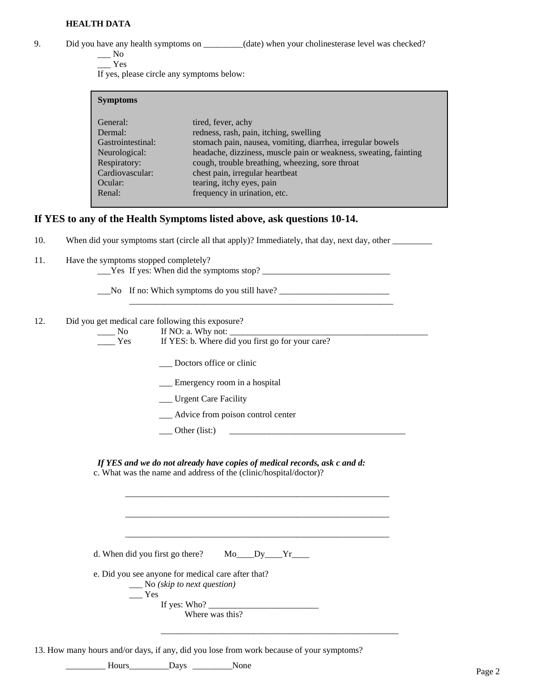### **HEALTH DATA**

9. Did you have any health symptoms on \_\_\_\_\_\_\_\_(date) when your cholinesterase level was checked?

 $\_\_$  No \_\_\_ Yes

If yes, please circle any symptoms below:

| <b>Symptoms</b>                                                                                                                                                                                                                                                                                                                                                                                                                                                        |  |
|------------------------------------------------------------------------------------------------------------------------------------------------------------------------------------------------------------------------------------------------------------------------------------------------------------------------------------------------------------------------------------------------------------------------------------------------------------------------|--|
| tired, fever, achy<br>General:<br>redness, rash, pain, itching, swelling<br>Dermal:<br>stomach pain, nausea, vomiting, diarrhea, irregular bowels<br>Gastrointestinal:<br>headache, dizziness, muscle pain or weakness, sweating, fainting<br>Neurological:<br>cough, trouble breathing, wheezing, sore throat<br>Respiratory:<br>chest pain, irregular heartbeat<br>Cardiovascular:<br>tearing, itchy eyes, pain<br>Ocular:<br>frequency in urination, etc.<br>Renal: |  |

\_\_\_\_\_\_\_\_\_\_\_\_\_\_\_\_\_\_\_\_\_\_\_\_\_\_\_\_\_\_\_\_\_\_\_\_\_\_\_\_\_\_\_\_\_\_\_\_\_\_\_\_\_\_\_\_\_\_\_\_

### **If YES to any of the Health Symptoms listed above, ask questions 10-14.**

10. When did your symptoms start (circle all that apply)? Immediately, that day, next day, other \_\_\_\_\_\_\_\_\_\_\_\_\_

- 11. Have the symptoms stopped completely?
	- \_\_\_Yes If yes: When did the symptoms stop? \_\_\_\_\_\_\_\_\_\_\_\_\_\_\_\_\_\_\_\_\_\_\_\_\_\_\_\_\_
	- \_\_\_No If no: Which symptoms do you still have? \_\_\_\_\_\_\_\_\_\_\_\_\_\_\_\_\_\_\_\_\_\_\_\_\_

#### 12. Did you get medical care following this exposure?

| No | If NO: a. Why not: |  |  |
|----|--------------------|--|--|
|    |                    |  |  |

| Yes. |  | If YES: b. Where did you first go for your care? |  |  |
|------|--|--------------------------------------------------|--|--|
|------|--|--------------------------------------------------|--|--|

- \_\_\_ Doctors office or clinic
- \_\_\_ Emergency room in a hospital
- \_\_\_ Urgent Care Facility
- \_\_\_ Advice from poison control center

\_\_\_ Other (list:) \_\_\_\_\_\_\_\_\_\_\_\_\_\_\_\_\_\_\_\_\_\_\_\_\_\_\_\_\_\_\_\_\_\_\_\_\_\_\_\_

 *If YES and we do not already have copies of medical records, ask c and d:* 

\_\_\_\_\_\_\_\_\_\_\_\_\_\_\_\_\_\_\_\_\_\_\_\_\_\_\_\_\_\_\_\_\_\_\_\_\_\_\_\_\_\_\_\_\_\_\_\_\_\_\_\_\_\_\_\_\_\_\_\_

\_\_\_\_\_\_\_\_\_\_\_\_\_\_\_\_\_\_\_\_\_\_\_\_\_\_\_\_\_\_\_\_\_\_\_\_\_\_\_\_\_\_\_\_\_\_\_\_\_\_\_\_\_\_\_\_\_\_\_\_

\_\_\_\_\_\_\_\_\_\_\_\_\_\_\_\_\_\_\_\_\_\_\_\_\_\_\_\_\_\_\_\_\_\_\_\_\_\_\_\_\_\_\_\_\_\_\_\_\_\_\_\_\_\_\_\_\_\_\_\_

 $\overline{\phantom{a}}$  ,  $\overline{\phantom{a}}$  ,  $\overline{\phantom{a}}$  ,  $\overline{\phantom{a}}$  ,  $\overline{\phantom{a}}$  ,  $\overline{\phantom{a}}$  ,  $\overline{\phantom{a}}$  ,  $\overline{\phantom{a}}$  ,  $\overline{\phantom{a}}$  ,  $\overline{\phantom{a}}$  ,  $\overline{\phantom{a}}$  ,  $\overline{\phantom{a}}$  ,  $\overline{\phantom{a}}$  ,  $\overline{\phantom{a}}$  ,  $\overline{\phantom{a}}$  ,  $\overline{\phantom{a}}$ 

c. What was the name and address of the (clinic/hospital/doctor)?

d. When did you first go there? Mo\_\_\_Dy\_\_\_Yr\_\_\_\_

e. Did you see anyone for medical care after that?

\_\_\_ No *(skip to next question)*

 $\_\_$  Yes If yes: Who?  $\_\_$ 

Where was this?

13. How many hours and/or days, if any, did you lose from work because of your symptoms?

\_\_\_\_\_\_\_\_\_ Hours \_\_\_\_\_\_\_\_\_Days \_\_\_\_\_\_\_\_\_None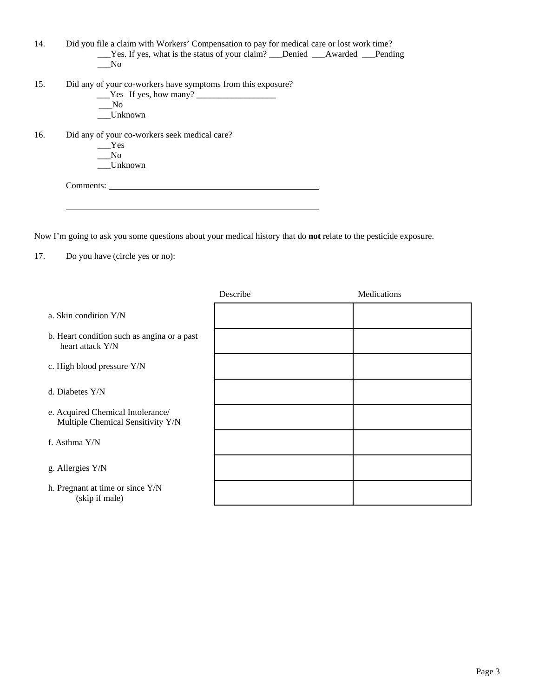| 14. | Did you file a claim with Workers' Compensation to pay for medical care or lost work time? |
|-----|--------------------------------------------------------------------------------------------|
|     |                                                                                            |
|     | No.                                                                                        |
|     |                                                                                            |
| 15. | Did any of your co-workers have symptoms from this exposure?                               |
|     | $Yes$ If yes, how many?                                                                    |
|     | $\overline{\text{No}}$                                                                     |
|     | Unknown                                                                                    |
|     |                                                                                            |
| 16. | Did any of your co-workers seek medical care?                                              |
|     | Yes                                                                                        |
|     | N <sub>0</sub>                                                                             |
|     | Unknown                                                                                    |
|     |                                                                                            |
|     | Comments:                                                                                  |
|     |                                                                                            |
|     |                                                                                            |
|     |                                                                                            |

Now I'm going to ask you some questions about your medical history that do **not** relate to the pesticide exposure.

17. Do you have (circle yes or no):

| Describe | Medications |
|----------|-------------|
|          |             |
|          |             |
|          |             |
|          |             |
|          |             |
|          |             |
|          |             |
|          |             |
|          |             |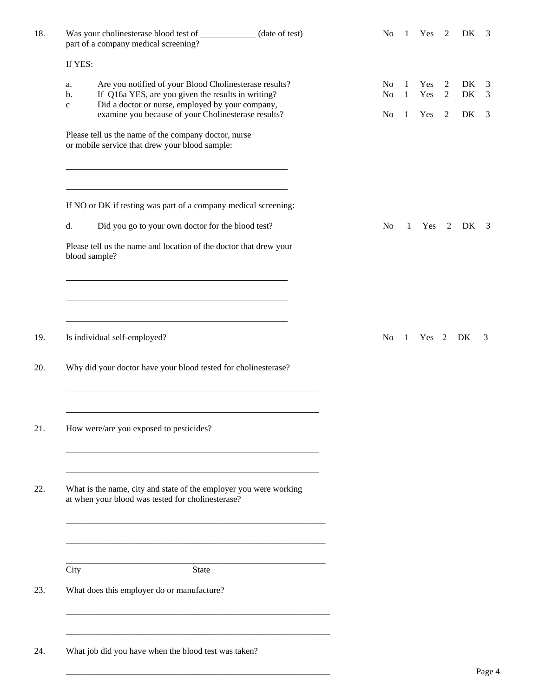| 18.        | Was your cholinesterase blood test of __________<br>(date of test)<br>part of a company medical screening?                                                                                                                                          | No                                                 | $\mathbf{1}$ | Yes               | $\overline{2}$                        | DK             | 3           |
|------------|-----------------------------------------------------------------------------------------------------------------------------------------------------------------------------------------------------------------------------------------------------|----------------------------------------------------|--------------|-------------------|---------------------------------------|----------------|-------------|
|            | If YES:                                                                                                                                                                                                                                             |                                                    |              |                   |                                       |                |             |
|            | Are you notified of your Blood Cholinesterase results?<br>a.<br>If Q16a YES, are you given the results in writing?<br>b.<br>Did a doctor or nurse, employed by your company,<br>$\mathbf{C}$<br>examine you because of your Cholinesterase results? | N <sub>o</sub><br>N <sub>0</sub><br>N <sub>0</sub> | 1<br>1<br>1  | Yes<br>Yes<br>Yes | 2<br>$\overline{2}$<br>$\overline{2}$ | DK<br>DK<br>DK | 3<br>3<br>3 |
|            | Please tell us the name of the company doctor, nurse<br>or mobile service that drew your blood sample:                                                                                                                                              |                                                    |              |                   |                                       |                |             |
|            | If NO or DK if testing was part of a company medical screening:                                                                                                                                                                                     |                                                    |              |                   |                                       |                |             |
|            | d.<br>Did you go to your own doctor for the blood test?                                                                                                                                                                                             | N <sub>o</sub>                                     | $\mathbf{1}$ | Yes 2             |                                       | DK             | - 3         |
|            | Please tell us the name and location of the doctor that drew your<br>blood sample?                                                                                                                                                                  |                                                    |              |                   |                                       |                |             |
| 19.<br>20. | Is individual self-employed?<br>Why did your doctor have your blood tested for cholinesterase?                                                                                                                                                      | N <sub>0</sub>                                     | $\mathbf{1}$ | Yes 2             |                                       | DK             | 3           |
| 21.        | How were/are you exposed to pesticides?                                                                                                                                                                                                             |                                                    |              |                   |                                       |                |             |
| 22.        | What is the name, city and state of the employer you were working<br>at when your blood was tested for cholinesterase?                                                                                                                              |                                                    |              |                   |                                       |                |             |
|            |                                                                                                                                                                                                                                                     |                                                    |              |                   |                                       |                |             |
|            | City<br><b>State</b>                                                                                                                                                                                                                                |                                                    |              |                   |                                       |                |             |
| 23.        | What does this employer do or manufacture?                                                                                                                                                                                                          |                                                    |              |                   |                                       |                |             |
| 24.        | What job did you have when the blood test was taken?                                                                                                                                                                                                |                                                    |              |                   |                                       |                | Page 4      |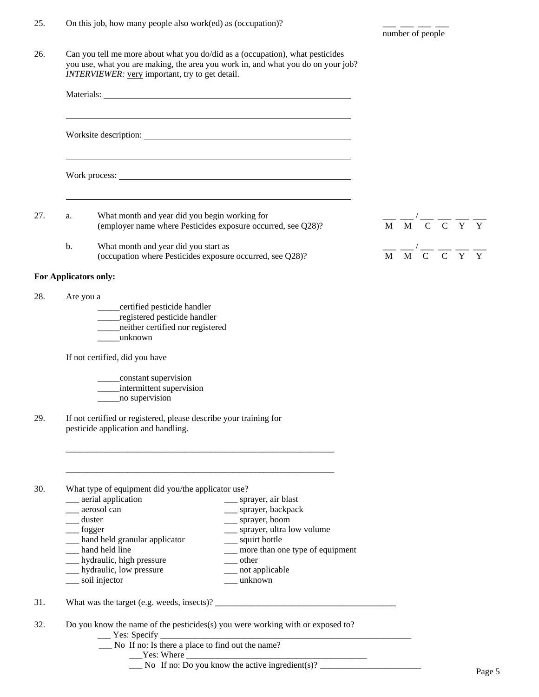| 25. On this job, how many people also work(ed) as (occupation)? |  |  |
|-----------------------------------------------------------------|--|--|
|                                                                 |  |  |

26. Can you tell me more about what you do/did as a (occupation), what pesticides you use, what you are making, the area you work in, and what you do on your job? *INTERVIEWER:* <u>very</u> important, try to get detail.

| a.                           | What month and year did you begin working for<br>(employer name where Pesticides exposure occurred, see Q28)?                                                                                                                                                                                                                                                                                                                       |  | $\frac{1}{M}$ $\frac{1}{M}$ $\frac{1}{C}$ $\frac{1}{C}$ $\frac{1}{Y}$ $\frac{1}{Y}$ |  |
|------------------------------|-------------------------------------------------------------------------------------------------------------------------------------------------------------------------------------------------------------------------------------------------------------------------------------------------------------------------------------------------------------------------------------------------------------------------------------|--|-------------------------------------------------------------------------------------|--|
| b.                           | What month and year did you start as<br>(occupation where Pesticides exposure occurred, see Q28)?                                                                                                                                                                                                                                                                                                                                   |  | $\frac{1}{M} \frac{1}{M} \frac{1}{C} \frac{1}{C} \frac{1}{N} \frac{1}{N}$           |  |
|                              | For Applicators only:                                                                                                                                                                                                                                                                                                                                                                                                               |  |                                                                                     |  |
| Are you a                    | certified pesticide handler<br>registered pesticide handler<br>neither certified nor registered<br>unknown                                                                                                                                                                                                                                                                                                                          |  |                                                                                     |  |
|                              | If not certified, did you have                                                                                                                                                                                                                                                                                                                                                                                                      |  |                                                                                     |  |
|                              | ____constant supervision<br>_____intermittent supervision<br>no supervision                                                                                                                                                                                                                                                                                                                                                         |  |                                                                                     |  |
|                              | If not certified or registered, please describe your training for<br>pesticide application and handling.                                                                                                                                                                                                                                                                                                                            |  |                                                                                     |  |
|                              |                                                                                                                                                                                                                                                                                                                                                                                                                                     |  |                                                                                     |  |
| $\equiv$ duster<br>__ fogger | What type of equipment did you/the applicator use?<br>__ aerial application<br>___ sprayer, air blast<br>__ aerosol can<br>__ sprayer, backpack<br>__ sprayer, boom<br>__ sprayer, ultra low volume<br>__ hand held granular applicator<br>__ squirt bottle<br>hand held line<br>__ more than one type of equipment<br>__ hydraulic, high pressure<br>$\rule{1em}{0.15mm}$ other<br>__ hydraulic, low pressure<br>__ not applicable |  |                                                                                     |  |
|                              | soil injector<br>$\frac{1}{2}$ unknown                                                                                                                                                                                                                                                                                                                                                                                              |  |                                                                                     |  |
|                              |                                                                                                                                                                                                                                                                                                                                                                                                                                     |  |                                                                                     |  |
|                              |                                                                                                                                                                                                                                                                                                                                                                                                                                     |  |                                                                                     |  |

number of people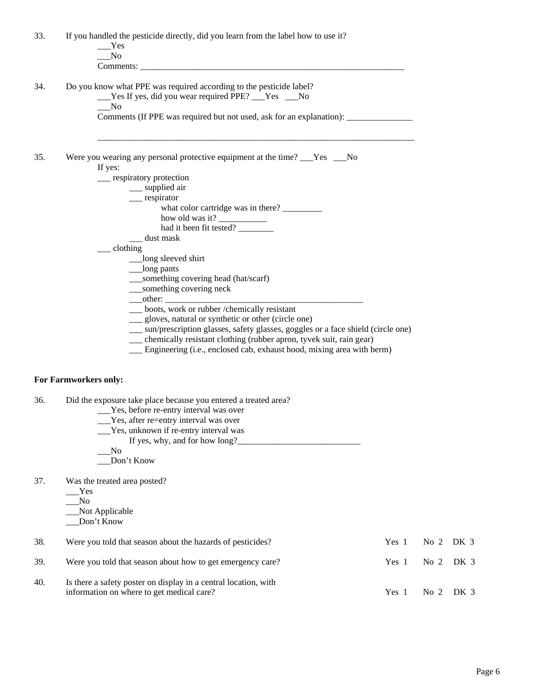33. If you handled the pesticide directly, did you learn from the label how to use it? \_\_\_Yes \_\_\_No Comments: 34. Do you know what PPE was required according to the pesticide label? \_\_\_Yes If yes, did you wear required PPE? \_\_\_Yes \_\_\_No  $\sqrt{N}$  Comments (If PPE was required but not used, ask for an explanation): \_\_\_\_\_\_\_\_\_\_\_\_\_\_\_  $\frac{1}{2}$  ,  $\frac{1}{2}$  ,  $\frac{1}{2}$  ,  $\frac{1}{2}$  ,  $\frac{1}{2}$  ,  $\frac{1}{2}$  ,  $\frac{1}{2}$  ,  $\frac{1}{2}$  ,  $\frac{1}{2}$  ,  $\frac{1}{2}$  ,  $\frac{1}{2}$  ,  $\frac{1}{2}$  ,  $\frac{1}{2}$  ,  $\frac{1}{2}$  ,  $\frac{1}{2}$  ,  $\frac{1}{2}$  ,  $\frac{1}{2}$  ,  $\frac{1}{2}$  ,  $\frac{1$ 35. Were you wearing any personal protective equipment at the time? \_\_\_Yes \_\_\_No If yes: \_\_\_ respiratory protection \_\_\_ supplied air \_\_\_ respirator what color cartridge was in there? \_\_\_\_\_\_\_\_\_ how old was it? had it been fit tested? \_\_\_ dust mask \_\_\_ clothing \_\_\_long sleeved shirt \_\_\_long pants \_\_\_something covering head (hat/scarf) \_\_\_something covering neck  $\rule{1em}{0.15mm} \begin{array}{c}\n 2.75 \\
 -2.75\n \end{array}$  \_\_\_ boots, work or rubber /chemically resistant \_\_\_ gloves, natural or synthetic or other (circle one) \_\_\_ sun/prescription glasses, safety glasses, goggles or a face shield (circle one) \_\_\_ chemically resistant clothing (rubber apron, tyvek suit, rain gear) Engineering (i.e., enclosed cab, exhaust hood, mixing area with berm) **For Farmworkers only:**  36. Did the exposure take place because you entered a treated area? \_\_\_Yes, before re-entry interval was over \_\_\_Yes, after re=entry interval was over \_\_\_Yes, unknown if re-entry interval was If yes, why, and for how long?\_\_\_\_\_\_\_\_\_\_\_\_\_\_\_\_\_\_\_\_\_\_\_\_\_\_\_\_ \_\_\_No \_\_\_Don't Know 37. Was the treated area posted? \_\_\_Yes  $\_\_\_\text{No}$  \_\_\_Not Applicable \_\_\_Don't Know 38. Were you told that season about the hazards of pesticides? Yes 1 No 2 DK 3 39. Were you told that season about how to get emergency care? Yes 1 No 2 DK 3 40. Is there a safety poster on display in a central location, with information on where to get medical care? <br>
Yes 1 No 2 DK 3